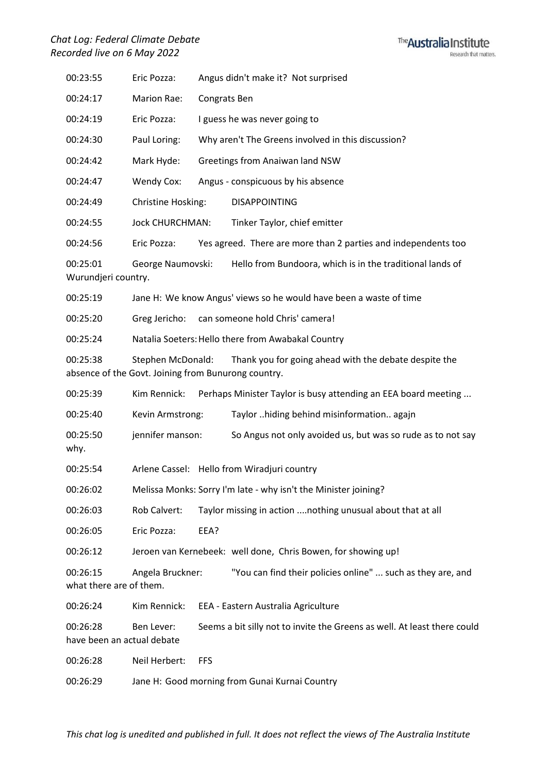## *Chat Log: Federal Climate Debate Recorded live on 6 May 2022*



| 00:23:55                               | Eric Pozza:                                                              |                                                    | Angus didn't make it? Not surprised                                      |  |
|----------------------------------------|--------------------------------------------------------------------------|----------------------------------------------------|--------------------------------------------------------------------------|--|
| 00:24:17                               | Marion Rae:                                                              | Congrats Ben                                       |                                                                          |  |
| 00:24:19                               | Eric Pozza:                                                              | I guess he was never going to                      |                                                                          |  |
| 00:24:30                               | Paul Loring:                                                             | Why aren't The Greens involved in this discussion? |                                                                          |  |
| 00:24:42                               | Mark Hyde:                                                               |                                                    | Greetings from Anaiwan land NSW                                          |  |
| 00:24:47                               | Wendy Cox:                                                               |                                                    | Angus - conspicuous by his absence                                       |  |
| 00:24:49                               | Christine Hosking:                                                       |                                                    | <b>DISAPPOINTING</b>                                                     |  |
| 00:24:55                               | <b>Jock CHURCHMAN:</b>                                                   |                                                    | Tinker Taylor, chief emitter                                             |  |
| 00:24:56                               | Eric Pozza:                                                              |                                                    | Yes agreed. There are more than 2 parties and independents too           |  |
| 00:25:01<br>Wurundjeri country.        | George Naumovski:                                                        |                                                    | Hello from Bundoora, which is in the traditional lands of                |  |
| 00:25:19                               |                                                                          |                                                    | Jane H: We know Angus' views so he would have been a waste of time       |  |
| 00:25:20                               | Greg Jericho:                                                            |                                                    | can someone hold Chris' camera!                                          |  |
| 00:25:24                               | Natalia Soeters: Hello there from Awabakal Country                       |                                                    |                                                                          |  |
| 00:25:38                               | Stephen McDonald:<br>absence of the Govt. Joining from Bunurong country. |                                                    | Thank you for going ahead with the debate despite the                    |  |
| 00:25:39                               | Kim Rennick:                                                             |                                                    | Perhaps Minister Taylor is busy attending an EEA board meeting           |  |
| 00:25:40                               | Kevin Armstrong:                                                         |                                                    | Taylor hiding behind misinformation agajn                                |  |
| 00:25:50<br>why.                       | jennifer manson:                                                         |                                                    | So Angus not only avoided us, but was so rude as to not say              |  |
| 00:25:54                               |                                                                          |                                                    | Arlene Cassel: Hello from Wiradjuri country                              |  |
| 00:26:02                               |                                                                          |                                                    | Melissa Monks: Sorry I'm late - why isn't the Minister joining?          |  |
| 00:26:03                               | Rob Calvert:                                                             |                                                    | Taylor missing in action  nothing unusual about that at all              |  |
| 00:26:05                               | Eric Pozza:                                                              | EEA?                                               |                                                                          |  |
| 00:26:12                               |                                                                          |                                                    | Jeroen van Kernebeek: well done, Chris Bowen, for showing up!            |  |
| 00:26:15<br>what there are of them.    | Angela Bruckner:                                                         |                                                    | "You can find their policies online"  such as they are, and              |  |
| 00:26:24                               | Kim Rennick:                                                             |                                                    | EEA - Eastern Australia Agriculture                                      |  |
| 00:26:28<br>have been an actual debate | Ben Lever:                                                               |                                                    | Seems a bit silly not to invite the Greens as well. At least there could |  |
| 00:26:28                               | Neil Herbert:                                                            | FFS                                                |                                                                          |  |
| 00:26:29                               |                                                                          |                                                    | Jane H: Good morning from Gunai Kurnai Country                           |  |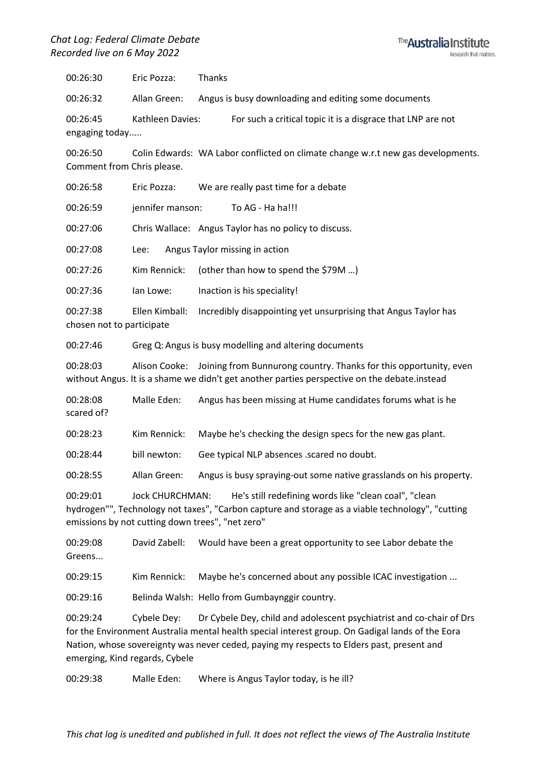

00:26:30 Eric Pozza: Thanks

00:26:32 Allan Green: Angus is busy downloading and editing some documents

00:26:45 Kathleen Davies: For such a critical topic it is a disgrace that LNP are not engaging today.....

00:26:50 Colin Edwards: WA Labor conflicted on climate change w.r.t new gas developments. Comment from Chris please.

00:26:58 Eric Pozza: We are really past time for a debate

00:26:59 jennifer manson: To AG - Ha ha!!!

00:27:06 Chris Wallace: Angus Taylor has no policy to discuss.

00:27:08 Lee: Angus Taylor missing in action

00:27:26 Kim Rennick: (other than how to spend the \$79M …)

00:27:36 Ian Lowe: Inaction is his speciality!

00:27:38 Ellen Kimball: Incredibly disappointing yet unsurprising that Angus Taylor has chosen not to participate

00:27:46 Greg Q: Angus is busy modelling and altering documents

00:28:03 Alison Cooke: Joining from Bunnurong country. Thanks for this opportunity, even without Angus. It is a shame we didn't get another parties perspective on the debate.instead

00:28:08 Malle Eden: Angus has been missing at Hume candidates forums what is he scared of? 00:28:23 Kim Rennick: Maybe he's checking the design specs for the new gas plant. 00:28:44 bill newton: Gee typical NLP absences .scared no doubt.

00:28:55 Allan Green: Angus is busy spraying-out some native grasslands on his property.

00:29:01 Jock CHURCHMAN: He's still redefining words like "clean coal", "clean hydrogen"", Technology not taxes", "Carbon capture and storage as a viable technology", "cutting emissions by not cutting down trees", "net zero"

00:29:08 David Zabell: Would have been a great opportunity to see Labor debate the Greens...

00:29:15 Kim Rennick: Maybe he's concerned about any possible ICAC investigation ...

00:29:16 Belinda Walsh: Hello from Gumbaynggir country.

00:29:24 Cybele Dey: Dr Cybele Dey, child and adolescent psychiatrist and co-chair of Drs for the Environment Australia mental health special interest group. On Gadigal lands of the Eora Nation, whose sovereignty was never ceded, paying my respects to Elders past, present and emerging, Kind regards, Cybele

00:29:38 Malle Eden: Where is Angus Taylor today, is he ill?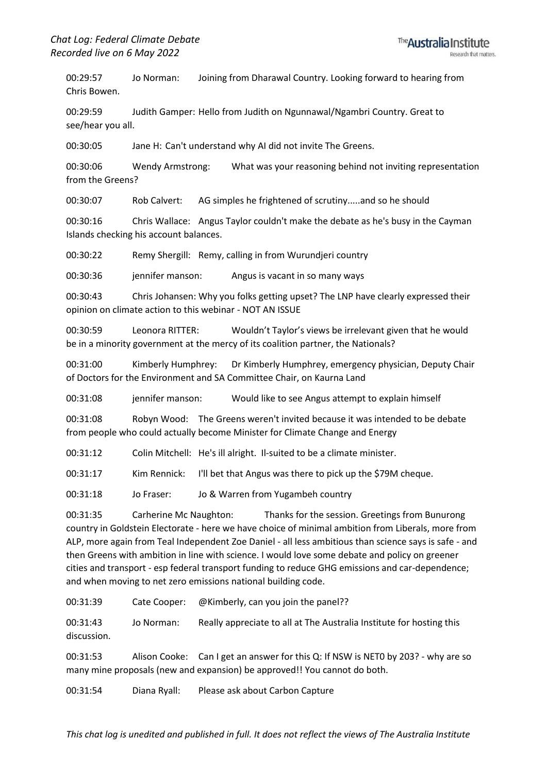00:29:57 Jo Norman: Joining from Dharawal Country. Looking forward to hearing from Chris Bowen.

00:29:59 Judith Gamper: Hello from Judith on Ngunnawal/Ngambri Country. Great to see/hear you all.

00:30:05 Jane H: Can't understand why AI did not invite The Greens.

00:30:06 Wendy Armstrong: What was your reasoning behind not inviting representation from the Greens?

00:30:07 Rob Calvert: AG simples he frightened of scrutiny.....and so he should

00:30:16 Chris Wallace: Angus Taylor couldn't make the debate as he's busy in the Cayman Islands checking his account balances.

00:30:22 Remy Shergill: Remy, calling in from Wurundjeri country

00:30:36 jennifer manson: Angus is vacant in so many ways

00:30:43 Chris Johansen: Why you folks getting upset? The LNP have clearly expressed their opinion on climate action to this webinar - NOT AN ISSUE

00:30:59 Leonora RITTER: Wouldn't Taylor's views be irrelevant given that he would be in a minority government at the mercy of its coalition partner, the Nationals?

00:31:00 Kimberly Humphrey: Dr Kimberly Humphrey, emergency physician, Deputy Chair of Doctors for the Environment and SA Committee Chair, on Kaurna Land

00:31:08 jennifer manson: Would like to see Angus attempt to explain himself

00:31:08 Robyn Wood: The Greens weren't invited because it was intended to be debate from people who could actually become Minister for Climate Change and Energy

00:31:12 Colin Mitchell: He's ill alright. Il-suited to be a climate minister.

00:31:17 Kim Rennick: I'll bet that Angus was there to pick up the \$79M cheque.

00:31:18 Jo Fraser: Jo & Warren from Yugambeh country

00:31:35 Carherine Mc Naughton: Thanks for the session. Greetings from Bunurong country in Goldstein Electorate - here we have choice of minimal ambition from Liberals, more from ALP, more again from Teal Independent Zoe Daniel - all less ambitious than science says is safe - and then Greens with ambition in line with science. I would love some debate and policy on greener cities and transport - esp federal transport funding to reduce GHG emissions and car-dependence; and when moving to net zero emissions national building code.

00:31:39 Cate Cooper: @Kimberly, can you join the panel??

00:31:43 Jo Norman: Really appreciate to all at The Australia Institute for hosting this discussion.

00:31:53 Alison Cooke: Can I get an answer for this Q: If NSW is NET0 by 203? - why are so many mine proposals (new and expansion) be approved!! You cannot do both.

00:31:54 Diana Ryall: Please ask about Carbon Capture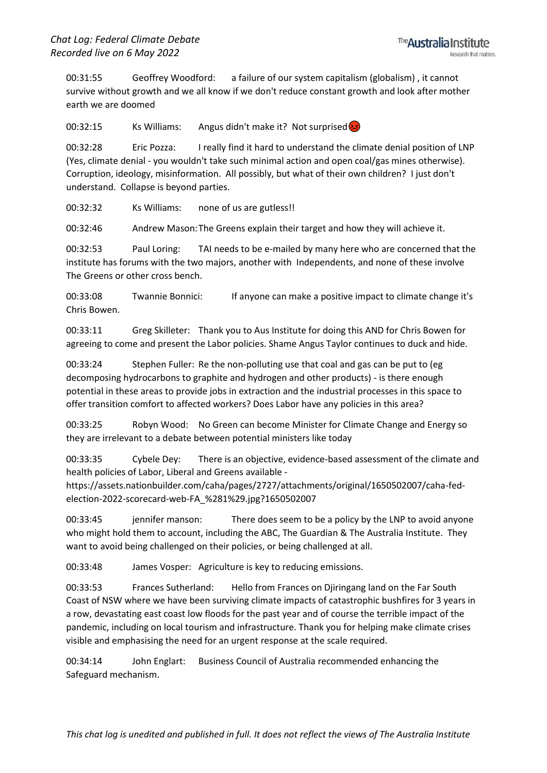00:31:55 Geoffrey Woodford: a failure of our system capitalism (globalism) , it cannot survive without growth and we all know if we don't reduce constant growth and look after mother earth we are doomed

00:32:15 Ks Williams: Angus didn't make it? Not surprised

00:32:28 Eric Pozza: I really find it hard to understand the climate denial position of LNP (Yes, climate denial - you wouldn't take such minimal action and open coal/gas mines otherwise). Corruption, ideology, misinformation. All possibly, but what of their own children? I just don't understand. Collapse is beyond parties.

00:32:32 Ks Williams: none of us are gutless!!

00:32:46 Andrew Mason:The Greens explain their target and how they will achieve it.

00:32:53 Paul Loring: TAI needs to be e-mailed by many here who are concerned that the institute has forums with the two majors, another with Independents, and none of these involve The Greens or other cross bench.

00:33:08 Twannie Bonnici: If anyone can make a positive impact to climate change it's Chris Bowen.

00:33:11 Greg Skilleter: Thank you to Aus Institute for doing this AND for Chris Bowen for agreeing to come and present the Labor policies. Shame Angus Taylor continues to duck and hide.

00:33:24 Stephen Fuller: Re the non-polluting use that coal and gas can be put to (eg decomposing hydrocarbons to graphite and hydrogen and other products) - is there enough potential in these areas to provide jobs in extraction and the industrial processes in this space to offer transition comfort to affected workers? Does Labor have any policies in this area?

00:33:25 Robyn Wood: No Green can become Minister for Climate Change and Energy so they are irrelevant to a debate between potential ministers like today

00:33:35 Cybele Dey: There is an objective, evidence-based assessment of the climate and health policies of Labor, Liberal and Greens available -

https://assets.nationbuilder.com/caha/pages/2727/attachments/original/1650502007/caha-fedelection-2022-scorecard-web-FA\_%281%29.jpg?1650502007

00:33:45 jennifer manson: There does seem to be a policy by the LNP to avoid anyone who might hold them to account, including the ABC, The Guardian & The Australia Institute. They want to avoid being challenged on their policies, or being challenged at all.

00:33:48 James Vosper: Agriculture is key to reducing emissions.

00:33:53 Frances Sutherland: Hello from Frances on Djiringang land on the Far South Coast of NSW where we have been surviving climate impacts of catastrophic bushfires for 3 years in a row, devastating east coast low floods for the past year and of course the terrible impact of the pandemic, including on local tourism and infrastructure. Thank you for helping make climate crises visible and emphasising the need for an urgent response at the scale required.

00:34:14 John Englart: Business Council of Australia recommended enhancing the Safeguard mechanism.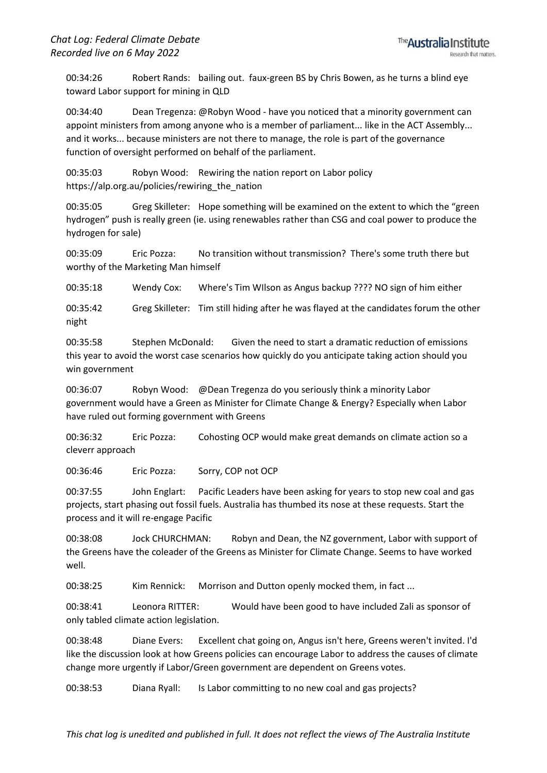00:34:26 Robert Rands: bailing out. faux-green BS by Chris Bowen, as he turns a blind eye toward Labor support for mining in QLD

00:34:40 Dean Tregenza: @Robyn Wood - have you noticed that a minority government can appoint ministers from among anyone who is a member of parliament... like in the ACT Assembly... and it works... because ministers are not there to manage, the role is part of the governance function of oversight performed on behalf of the parliament.

00:35:03 Robyn Wood: Rewiring the nation report on Labor policy https://alp.org.au/policies/rewiring the nation

00:35:05 Greg Skilleter: Hope something will be examined on the extent to which the "green hydrogen" push is really green (ie. using renewables rather than CSG and coal power to produce the hydrogen for sale)

00:35:09 Eric Pozza: No transition without transmission? There's some truth there but worthy of the Marketing Man himself

00:35:18 Wendy Cox: Where's Tim WIlson as Angus backup ???? NO sign of him either

00:35:42 Greg Skilleter: Tim still hiding after he was flayed at the candidates forum the other night

00:35:58 Stephen McDonald: Given the need to start a dramatic reduction of emissions this year to avoid the worst case scenarios how quickly do you anticipate taking action should you win government

00:36:07 Robyn Wood: @Dean Tregenza do you seriously think a minority Labor government would have a Green as Minister for Climate Change & Energy? Especially when Labor have ruled out forming government with Greens

00:36:32 Eric Pozza: Cohosting OCP would make great demands on climate action so a cleverr approach

00:36:46 Eric Pozza: Sorry, COP not OCP

00:37:55 John Englart: Pacific Leaders have been asking for years to stop new coal and gas projects, start phasing out fossil fuels. Australia has thumbed its nose at these requests. Start the process and it will re-engage Pacific

00:38:08 Jock CHURCHMAN: Robyn and Dean, the NZ government, Labor with support of the Greens have the coleader of the Greens as Minister for Climate Change. Seems to have worked well.

00:38:25 Kim Rennick: Morrison and Dutton openly mocked them, in fact ...

00:38:41 Leonora RITTER: Would have been good to have included Zali as sponsor of only tabled climate action legislation.

00:38:48 Diane Evers: Excellent chat going on, Angus isn't here, Greens weren't invited. I'd like the discussion look at how Greens policies can encourage Labor to address the causes of climate change more urgently if Labor/Green government are dependent on Greens votes.

00:38:53 Diana Ryall: Is Labor committing to no new coal and gas projects?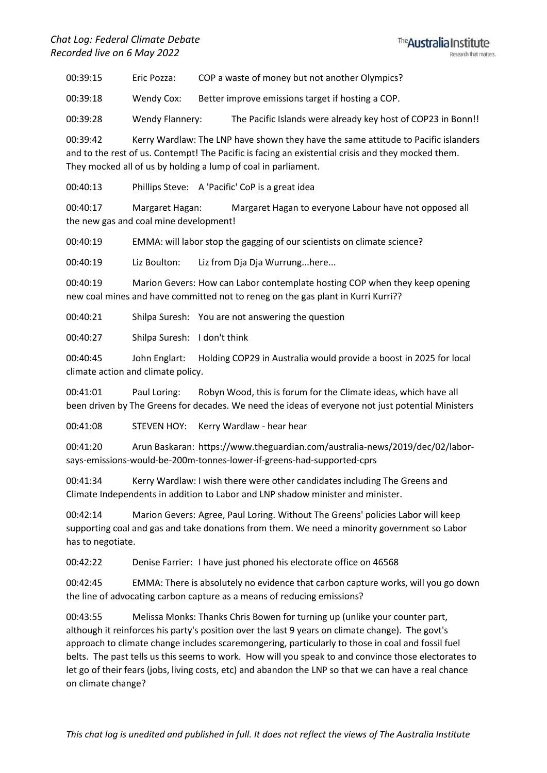

00:39:15 Eric Pozza: COP a waste of money but not another Olympics?

00:39:18 Wendy Cox: Better improve emissions target if hosting a COP.

00:39:28 Wendy Flannery: The Pacific Islands were already key host of COP23 in Bonn!!

00:39:42 Kerry Wardlaw: The LNP have shown they have the same attitude to Pacific islanders and to the rest of us. Contempt! The Pacific is facing an existential crisis and they mocked them. They mocked all of us by holding a lump of coal in parliament.

00:40:13 Phillips Steve: A 'Pacific' CoP is a great idea

00:40:17 Margaret Hagan: Margaret Hagan to everyone Labour have not opposed all the new gas and coal mine development!

00:40:19 EMMA: will labor stop the gagging of our scientists on climate science?

00:40:19 Liz Boulton: Liz from Dja Dja Wurrung...here...

00:40:19 Marion Gevers: How can Labor contemplate hosting COP when they keep opening new coal mines and have committed not to reneg on the gas plant in Kurri Kurri??

00:40:21 Shilpa Suresh: You are not answering the question

00:40:27 Shilpa Suresh: I don't think

00:40:45 John Englart: Holding COP29 in Australia would provide a boost in 2025 for local climate action and climate policy.

00:41:01 Paul Loring: Robyn Wood, this is forum for the Climate ideas, which have all been driven by The Greens for decades. We need the ideas of everyone not just potential Ministers

00:41:08 STEVEN HOY: Kerry Wardlaw - hear hear

00:41:20 Arun Baskaran: https://www.theguardian.com/australia-news/2019/dec/02/laborsays-emissions-would-be-200m-tonnes-lower-if-greens-had-supported-cprs

00:41:34 Kerry Wardlaw: I wish there were other candidates including The Greens and Climate Independents in addition to Labor and LNP shadow minister and minister.

00:42:14 Marion Gevers: Agree, Paul Loring. Without The Greens' policies Labor will keep supporting coal and gas and take donations from them. We need a minority government so Labor has to negotiate.

00:42:22 Denise Farrier: I have just phoned his electorate office on 46568

00:42:45 EMMA: There is absolutely no evidence that carbon capture works, will you go down the line of advocating carbon capture as a means of reducing emissions?

00:43:55 Melissa Monks: Thanks Chris Bowen for turning up (unlike your counter part, although it reinforces his party's position over the last 9 years on climate change). The govt's approach to climate change includes scaremongering, particularly to those in coal and fossil fuel belts. The past tells us this seems to work. How will you speak to and convince those electorates to let go of their fears (jobs, living costs, etc) and abandon the LNP so that we can have a real chance on climate change?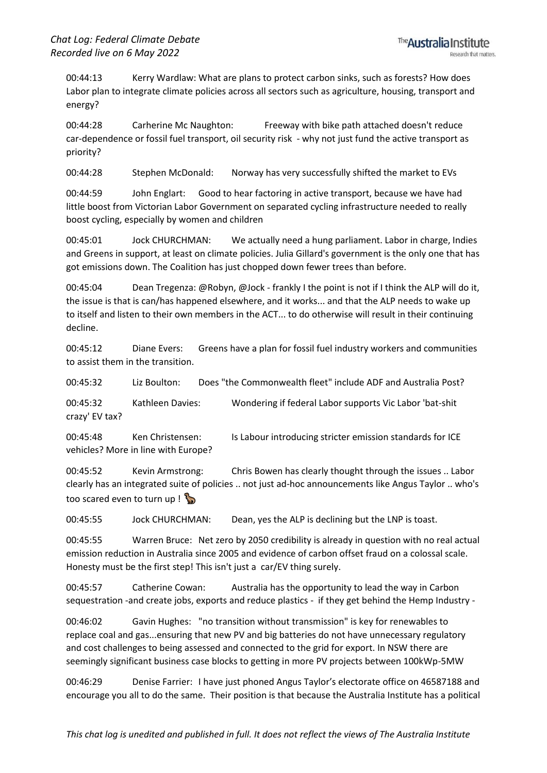00:44:13 Kerry Wardlaw: What are plans to protect carbon sinks, such as forests? How does Labor plan to integrate climate policies across all sectors such as agriculture, housing, transport and energy?

00:44:28 Carherine Mc Naughton: Freeway with bike path attached doesn't reduce car-dependence or fossil fuel transport, oil security risk - why not just fund the active transport as priority?

00:44:28 Stephen McDonald: Norway has very successfully shifted the market to EVs

00:44:59 John Englart: Good to hear factoring in active transport, because we have had little boost from Victorian Labor Government on separated cycling infrastructure needed to really boost cycling, especially by women and children

00:45:01 Jock CHURCHMAN: We actually need a hung parliament. Labor in charge, Indies and Greens in support, at least on climate policies. Julia Gillard's government is the only one that has got emissions down. The Coalition has just chopped down fewer trees than before.

00:45:04 Dean Tregenza: @Robyn, @Jock - frankly I the point is not if I think the ALP will do it, the issue is that is can/has happened elsewhere, and it works... and that the ALP needs to wake up to itself and listen to their own members in the ACT... to do otherwise will result in their continuing decline.

00:45:12 Diane Evers: Greens have a plan for fossil fuel industry workers and communities to assist them in the transition.

00:45:32 Liz Boulton: Does "the Commonwealth fleet" include ADF and Australia Post?

00:45:32 Kathleen Davies: Wondering if federal Labor supports Vic Labor 'bat-shit crazy' EV tax?

00:45:48 Ken Christensen: Is Labour introducing stricter emission standards for ICE vehicles? More in line with Europe?

00:45:52 Kevin Armstrong: Chris Bowen has clearly thought through the issues .. Labor clearly has an integrated suite of policies .. not just ad-hoc announcements like Angus Taylor .. who's too scared even to turn up !

00:45:55 Jock CHURCHMAN: Dean, yes the ALP is declining but the LNP is toast.

00:45:55 Warren Bruce: Net zero by 2050 credibility is already in question with no real actual emission reduction in Australia since 2005 and evidence of carbon offset fraud on a colossal scale. Honesty must be the first step! This isn't just a car/EV thing surely.

00:45:57 Catherine Cowan: Australia has the opportunity to lead the way in Carbon sequestration -and create jobs, exports and reduce plastics - if they get behind the Hemp Industry -

00:46:02 Gavin Hughes: "no transition without transmission" is key for renewables to replace coal and gas...ensuring that new PV and big batteries do not have unnecessary regulatory and cost challenges to being assessed and connected to the grid for export. In NSW there are seemingly significant business case blocks to getting in more PV projects between 100kWp-5MW

00:46:29 Denise Farrier: I have just phoned Angus Taylor's electorate office on 46587188 and encourage you all to do the same. Their position is that because the Australia Institute has a political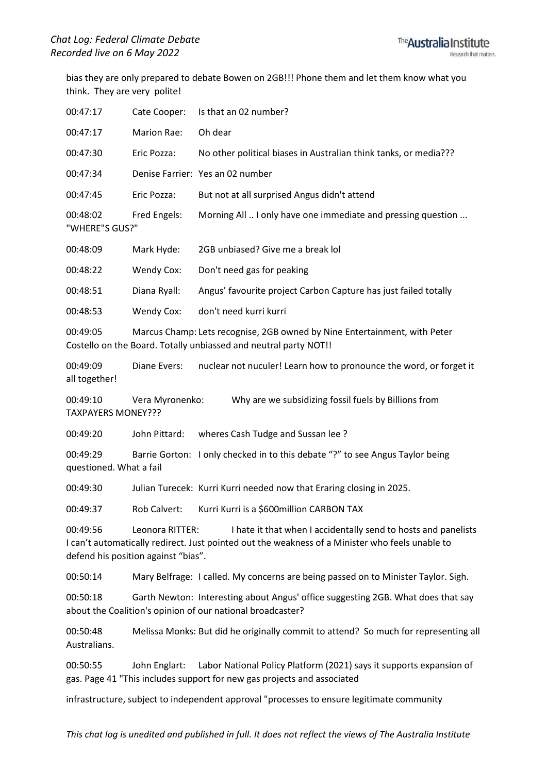bias they are only prepared to debate Bowen on 2GB!!! Phone them and let them know what you think. They are very polite!

| 00:47:17                                                                                                                                                                                                                                | Cate Cooper:      | Is that an 02 number?                                                                                                                          |  |
|-----------------------------------------------------------------------------------------------------------------------------------------------------------------------------------------------------------------------------------------|-------------------|------------------------------------------------------------------------------------------------------------------------------------------------|--|
| 00:47:17                                                                                                                                                                                                                                | Marion Rae:       | Oh dear                                                                                                                                        |  |
| 00:47:30                                                                                                                                                                                                                                | Eric Pozza:       | No other political biases in Australian think tanks, or media???                                                                               |  |
| 00:47:34                                                                                                                                                                                                                                |                   | Denise Farrier: Yes an 02 number                                                                                                               |  |
| 00:47:45                                                                                                                                                                                                                                | Eric Pozza:       | But not at all surprised Angus didn't attend                                                                                                   |  |
| 00:48:02<br>"WHERE"S GUS?"                                                                                                                                                                                                              | Fred Engels:      | Morning All  I only have one immediate and pressing question                                                                                   |  |
| 00:48:09                                                                                                                                                                                                                                | Mark Hyde:        | 2GB unbiased? Give me a break lol                                                                                                              |  |
| 00:48:22                                                                                                                                                                                                                                | Wendy Cox:        | Don't need gas for peaking                                                                                                                     |  |
| 00:48:51                                                                                                                                                                                                                                | Diana Ryall:      | Angus' favourite project Carbon Capture has just failed totally                                                                                |  |
| 00:48:53                                                                                                                                                                                                                                | <b>Wendy Cox:</b> | don't need kurri kurri                                                                                                                         |  |
| 00:49:05                                                                                                                                                                                                                                |                   | Marcus Champ: Lets recognise, 2GB owned by Nine Entertainment, with Peter<br>Costello on the Board. Totally unbiassed and neutral party NOT!!  |  |
| 00:49:09<br>all together!                                                                                                                                                                                                               | Diane Evers:      | nuclear not nuculer! Learn how to pronounce the word, or forget it                                                                             |  |
| 00:49:10<br>TAXPAYERS MONEY???                                                                                                                                                                                                          | Vera Myronenko:   | Why are we subsidizing fossil fuels by Billions from                                                                                           |  |
| 00:49:20                                                                                                                                                                                                                                | John Pittard:     | wheres Cash Tudge and Sussan lee?                                                                                                              |  |
| 00:49:29<br>questioned. What a fail                                                                                                                                                                                                     |                   | Barrie Gorton: I only checked in to this debate "?" to see Angus Taylor being                                                                  |  |
| 00:49:30                                                                                                                                                                                                                                |                   | Julian Turecek: Kurri Kurri needed now that Eraring closing in 2025.                                                                           |  |
| 00:49:37                                                                                                                                                                                                                                | Rob Calvert:      | Kurri Kurri is a \$600million CARBON TAX                                                                                                       |  |
| 00:49:56<br>Leonora RITTER:<br>I hate it that when I accidentally send to hosts and panelists<br>I can't automatically redirect. Just pointed out the weakness of a Minister who feels unable to<br>defend his position against "bias". |                   |                                                                                                                                                |  |
| 00:50:14                                                                                                                                                                                                                                |                   | Mary Belfrage: I called. My concerns are being passed on to Minister Taylor. Sigh.                                                             |  |
| 00:50:18                                                                                                                                                                                                                                |                   | Garth Newton: Interesting about Angus' office suggesting 2GB. What does that say<br>about the Coalition's opinion of our national broadcaster? |  |
| 00:50:48<br>Australians.                                                                                                                                                                                                                |                   | Melissa Monks: But did he originally commit to attend? So much for representing all                                                            |  |
| 00:50:55                                                                                                                                                                                                                                | John Englart:     | Labor National Policy Platform (2021) says it supports expansion of<br>gas. Page 41 "This includes support for new gas projects and associated |  |
|                                                                                                                                                                                                                                         |                   |                                                                                                                                                |  |

infrastructure, subject to independent approval "processes to ensure legitimate community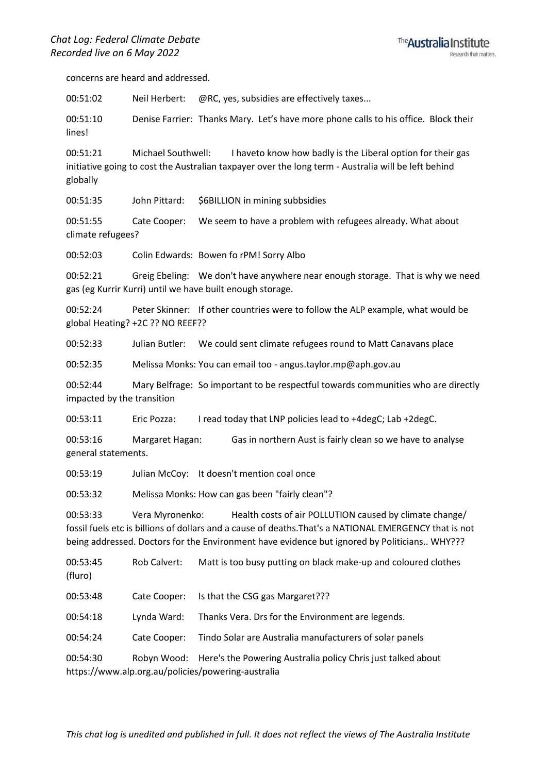

concerns are heard and addressed.

00:51:02 Neil Herbert: @RC, yes, subsidies are effectively taxes...

00:51:10 Denise Farrier: Thanks Mary. Let's have more phone calls to his office. Block their lines!

00:51:21 Michael Southwell: I haveto know how badly is the Liberal option for their gas initiative going to cost the Australian taxpayer over the long term - Australia will be left behind globally

00:51:35 John Pittard: \$6BILLION in mining subbsidies

00:51:55 Cate Cooper: We seem to have a problem with refugees already. What about climate refugees?

00:52:03 Colin Edwards: Bowen fo rPM! Sorry Albo

00:52:21 Greig Ebeling: We don't have anywhere near enough storage. That is why we need gas (eg Kurrir Kurri) until we have built enough storage.

00:52:24 Peter Skinner: If other countries were to follow the ALP example, what would be global Heating? +2C ?? NO REEF??

00:52:33 Julian Butler: We could sent climate refugees round to Matt Canavans place

00:52:35 Melissa Monks: You can email too - angus.taylor.mp@aph.gov.au

00:52:44 Mary Belfrage: So important to be respectful towards communities who are directly impacted by the transition

00:53:11 Eric Pozza: I read today that LNP policies lead to +4degC; Lab +2degC.

00:53:16 Margaret Hagan: Gas in northern Aust is fairly clean so we have to analyse general statements.

00:53:19 Julian McCoy: It doesn't mention coal once

00:53:32 Melissa Monks: How can gas been "fairly clean"?

00:53:33 Vera Myronenko: Health costs of air POLLUTION caused by climate change/ fossil fuels etc is billions of dollars and a cause of deaths.That's a NATIONAL EMERGENCY that is not being addressed. Doctors for the Environment have evidence but ignored by Politicians.. WHY???

00:53:45 Rob Calvert: Matt is too busy putting on black make-up and coloured clothes (fluro) 00:53:48 Cate Cooper: Is that the CSG gas Margaret??? 00:54:18 Lynda Ward: Thanks Vera. Drs for the Environment are legends. 00:54:24 Cate Cooper: Tindo Solar are Australia manufacturers of solar panels 00:54:30 Robyn Wood: Here's the Powering Australia policy Chris just talked about https://www.alp.org.au/policies/powering-australia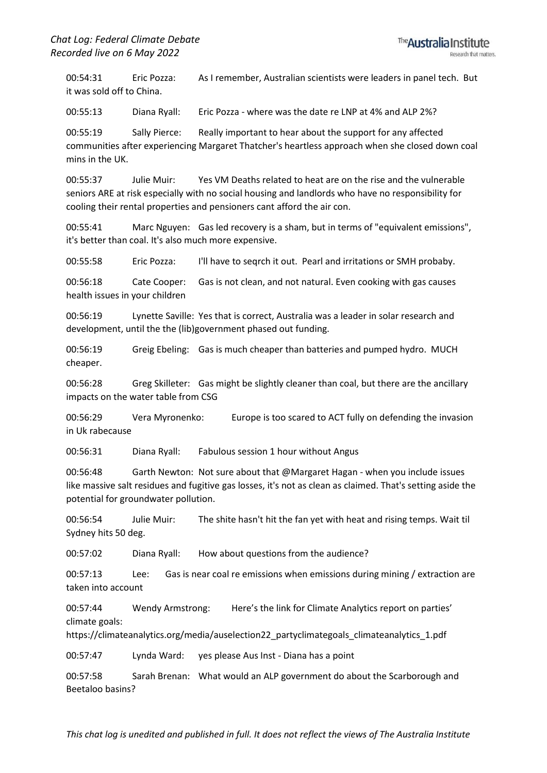00:54:31 Eric Pozza: As I remember, Australian scientists were leaders in panel tech. But it was sold off to China.

00:55:13 Diana Ryall: Eric Pozza - where was the date re LNP at 4% and ALP 2%?

00:55:19 Sally Pierce: Really important to hear about the support for any affected communities after experiencing Margaret Thatcher's heartless approach when she closed down coal mins in the UK.

00:55:37 Julie Muir: Yes VM Deaths related to heat are on the rise and the vulnerable seniors ARE at risk especially with no social housing and landlords who have no responsibility for cooling their rental properties and pensioners cant afford the air con.

00:55:41 Marc Nguyen: Gas led recovery is a sham, but in terms of "equivalent emissions", it's better than coal. It's also much more expensive.

00:55:58 Eric Pozza: I'll have to seqrch it out. Pearl and irritations or SMH probaby.

00:56:18 Cate Cooper: Gas is not clean, and not natural. Even cooking with gas causes health issues in your children

00:56:19 Lynette Saville: Yes that is correct, Australia was a leader in solar research and development, until the the (lib)government phased out funding.

00:56:19 Greig Ebeling: Gas is much cheaper than batteries and pumped hydro. MUCH cheaper.

00:56:28 Greg Skilleter: Gas might be slightly cleaner than coal, but there are the ancillary impacts on the water table from CSG

00:56:29 Vera Myronenko: Europe is too scared to ACT fully on defending the invasion in Uk rabecause

00:56:31 Diana Ryall: Fabulous session 1 hour without Angus

00:56:48 Garth Newton: Not sure about that @Margaret Hagan - when you include issues like massive salt residues and fugitive gas losses, it's not as clean as claimed. That's setting aside the potential for groundwater pollution.

00:56:54 Julie Muir: The shite hasn't hit the fan yet with heat and rising temps. Wait til Sydney hits 50 deg.

00:57:02 Diana Ryall: How about questions from the audience?

00:57:13 Lee: Gas is near coal re emissions when emissions during mining / extraction are taken into account

00:57:44 Wendy Armstrong: Here's the link for Climate Analytics report on parties' climate goals:

https://climateanalytics.org/media/auselection22\_partyclimategoals\_climateanalytics\_1.pdf

00:57:47 Lynda Ward: yes please Aus Inst - Diana has a point

00:57:58 Sarah Brenan: What would an ALP government do about the Scarborough and Beetaloo basins?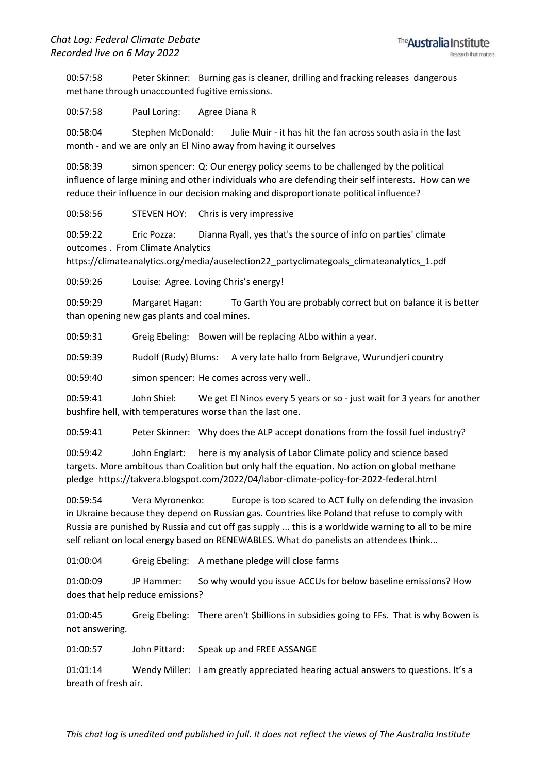00:57:58 Peter Skinner: Burning gas is cleaner, drilling and fracking releases dangerous methane through unaccounted fugitive emissions.

00:57:58 Paul Loring: Agree Diana R

00:58:04 Stephen McDonald: Julie Muir - it has hit the fan across south asia in the last month - and we are only an El Nino away from having it ourselves

00:58:39 simon spencer: Q: Our energy policy seems to be challenged by the political influence of large mining and other individuals who are defending their self interests. How can we reduce their influence in our decision making and disproportionate political influence?

00:58:56 STEVEN HOY: Chris is very impressive

00:59:22 Eric Pozza: Dianna Ryall, yes that's the source of info on parties' climate outcomes . From Climate Analytics

https://climateanalytics.org/media/auselection22\_partyclimategoals\_climateanalytics\_1.pdf

00:59:26 Louise: Agree. Loving Chris's energy!

00:59:29 Margaret Hagan: To Garth You are probably correct but on balance it is better than opening new gas plants and coal mines.

00:59:31 Greig Ebeling: Bowen will be replacing ALbo within a year.

00:59:39 Rudolf (Rudy) Blums: A very late hallo from Belgrave, Wurundjeri country

00:59:40 simon spencer: He comes across very well..

00:59:41 John Shiel: We get El Ninos every 5 years or so - just wait for 3 years for another bushfire hell, with temperatures worse than the last one.

00:59:41 Peter Skinner: Why does the ALP accept donations from the fossil fuel industry?

00:59:42 John Englart: here is my analysis of Labor Climate policy and science based targets. More ambitous than Coalition but only half the equation. No action on global methane pledge https://takvera.blogspot.com/2022/04/labor-climate-policy-for-2022-federal.html

00:59:54 Vera Myronenko: Europe is too scared to ACT fully on defending the invasion in Ukraine because they depend on Russian gas. Countries like Poland that refuse to comply with Russia are punished by Russia and cut off gas supply ... this is a worldwide warning to all to be mire self reliant on local energy based on RENEWABLES. What do panelists an attendees think...

01:00:04 Greig Ebeling: A methane pledge will close farms

01:00:09 JP Hammer: So why would you issue ACCUs for below baseline emissions? How does that help reduce emissions?

01:00:45 Greig Ebeling: There aren't \$billions in subsidies going to FFs. That is why Bowen is not answering.

01:00:57 John Pittard: Speak up and FREE ASSANGE

01:01:14 Wendy Miller: I am greatly appreciated hearing actual answers to questions. It's a breath of fresh air.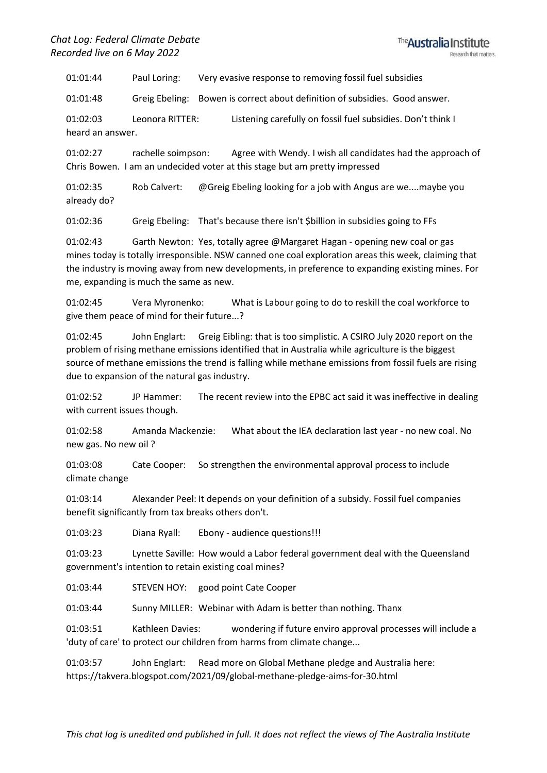01:01:44 Paul Loring: Very evasive response to removing fossil fuel subsidies

01:01:48 Greig Ebeling: Bowen is correct about definition of subsidies. Good answer.

01:02:03 Leonora RITTER: Listening carefully on fossil fuel subsidies. Don't think I heard an answer.

01:02:27 rachelle soimpson: Agree with Wendy. I wish all candidates had the approach of Chris Bowen. I am an undecided voter at this stage but am pretty impressed

01:02:35 Rob Calvert: @Greig Ebeling looking for a job with Angus are we....maybe you already do?

01:02:36 Greig Ebeling: That's because there isn't \$billion in subsidies going to FFs

01:02:43 Garth Newton: Yes, totally agree @Margaret Hagan - opening new coal or gas mines today is totally irresponsible. NSW canned one coal exploration areas this week, claiming that the industry is moving away from new developments, in preference to expanding existing mines. For me, expanding is much the same as new.

01:02:45 Vera Myronenko: What is Labour going to do to reskill the coal workforce to give them peace of mind for their future...?

01:02:45 John Englart: Greig Eibling: that is too simplistic. A CSIRO July 2020 report on the problem of rising methane emissions identified that in Australia while agriculture is the biggest source of methane emissions the trend is falling while methane emissions from fossil fuels are rising due to expansion of the natural gas industry.

01:02:52 JP Hammer: The recent review into the EPBC act said it was ineffective in dealing with current issues though.

01:02:58 Amanda Mackenzie: What about the IEA declaration last year - no new coal. No new gas. No new oil ?

01:03:08 Cate Cooper: So strengthen the environmental approval process to include climate change

01:03:14 Alexander Peel: It depends on your definition of a subsidy. Fossil fuel companies benefit significantly from tax breaks others don't.

01:03:23 Diana Ryall: Ebony - audience questions!!!

01:03:23 Lynette Saville: How would a Labor federal government deal with the Queensland government's intention to retain existing coal mines?

01:03:44 STEVEN HOY: good point Cate Cooper

01:03:44 Sunny MILLER: Webinar with Adam is better than nothing. Thanx

01:03:51 Kathleen Davies: wondering if future enviro approval processes will include a 'duty of care' to protect our children from harms from climate change...

01:03:57 John Englart: Read more on Global Methane pledge and Australia here: https://takvera.blogspot.com/2021/09/global-methane-pledge-aims-for-30.html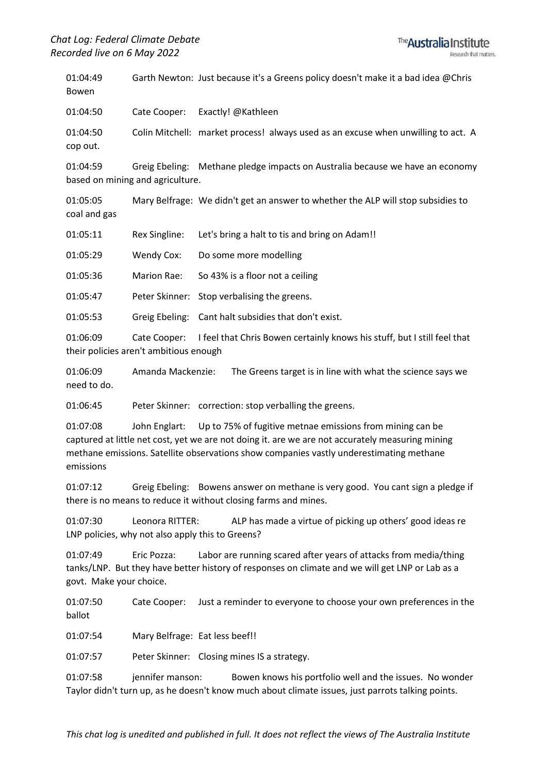01:04:49 Garth Newton: Just because it's a Greens policy doesn't make it a bad idea @Chris Bowen

01:04:50 Cate Cooper: Exactly! @Kathleen

01:04:50 Colin Mitchell: market process! always used as an excuse when unwilling to act. A cop out.

01:04:59 Greig Ebeling: Methane pledge impacts on Australia because we have an economy based on mining and agriculture.

01:05:05 Mary Belfrage: We didn't get an answer to whether the ALP will stop subsidies to coal and gas

01:05:11 Rex Singline: Let's bring a halt to tis and bring on Adam!!

01:05:29 Wendy Cox: Do some more modelling

01:05:36 Marion Rae: So 43% is a floor not a ceiling

01:05:47 Peter Skinner: Stop verbalising the greens.

01:05:53 Greig Ebeling: Cant halt subsidies that don't exist.

01:06:09 Cate Cooper: I feel that Chris Bowen certainly knows his stuff, but I still feel that their policies aren't ambitious enough

01:06:09 Amanda Mackenzie: The Greens target is in line with what the science says we need to do.

01:06:45 Peter Skinner: correction: stop verballing the greens.

01:07:08 John Englart: Up to 75% of fugitive metnae emissions from mining can be captured at little net cost, yet we are not doing it. are we are not accurately measuring mining methane emissions. Satellite observations show companies vastly underestimating methane emissions

01:07:12 Greig Ebeling: Bowens answer on methane is very good. You cant sign a pledge if there is no means to reduce it without closing farms and mines.

01:07:30 Leonora RITTER: ALP has made a virtue of picking up others' good ideas re LNP policies, why not also apply this to Greens?

01:07:49 Eric Pozza: Labor are running scared after years of attacks from media/thing tanks/LNP. But they have better history of responses on climate and we will get LNP or Lab as a govt. Make your choice.

01:07:50 Cate Cooper: Just a reminder to everyone to choose your own preferences in the ballot

01:07:54 Mary Belfrage: Eat less beef!!

01:07:57 Peter Skinner: Closing mines IS a strategy.

01:07:58 jennifer manson: Bowen knows his portfolio well and the issues. No wonder Taylor didn't turn up, as he doesn't know much about climate issues, just parrots talking points.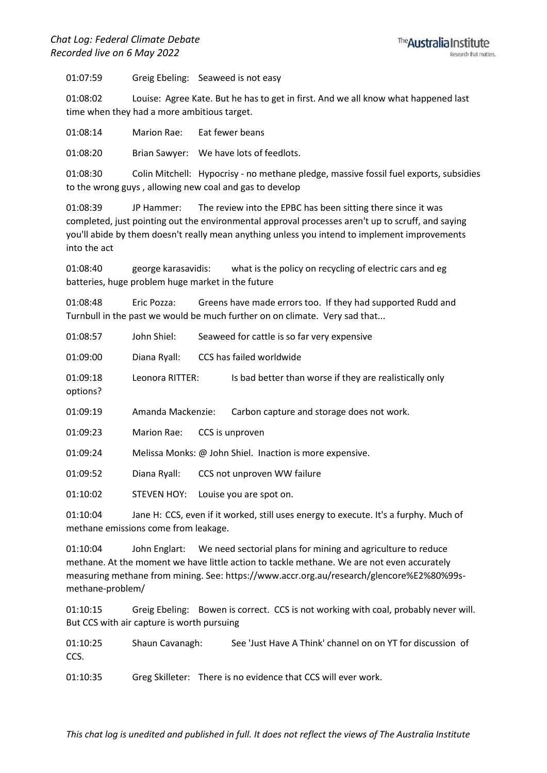01:07:59 Greig Ebeling: Seaweed is not easy

01:08:02 Louise: Agree Kate. But he has to get in first. And we all know what happened last time when they had a more ambitious target.

01:08:14 Marion Rae: Eat fewer beans

01:08:20 Brian Sawyer: We have lots of feedlots.

01:08:30 Colin Mitchell: Hypocrisy - no methane pledge, massive fossil fuel exports, subsidies to the wrong guys , allowing new coal and gas to develop

01:08:39 JP Hammer: The review into the EPBC has been sitting there since it was completed, just pointing out the environmental approval processes aren't up to scruff, and saying you'll abide by them doesn't really mean anything unless you intend to implement improvements into the act

01:08:40 george karasavidis: what is the policy on recycling of electric cars and eg batteries, huge problem huge market in the future

01:08:48 Eric Pozza: Greens have made errors too. If they had supported Rudd and Turnbull in the past we would be much further on on climate. Very sad that...

| 01:08:57             | John Shiel:                          | Seaweed for cattle is so far very expensive                                                               |
|----------------------|--------------------------------------|-----------------------------------------------------------------------------------------------------------|
| 01:09:00             | Diana Ryall:                         | CCS has failed worldwide                                                                                  |
| 01:09:18<br>options? | Leonora RITTER:                      | Is bad better than worse if they are realistically only                                                   |
| 01:09:19             | Amanda Mackenzie:                    | Carbon capture and storage does not work.                                                                 |
| 01:09:23             | Marion Rae:                          | CCS is unproven                                                                                           |
| 01:09:24             |                                      | Melissa Monks: @ John Shiel. Inaction is more expensive.                                                  |
| 01:09:52             | Diana Ryall:                         | CCS not unproven WW failure                                                                               |
| 01:10:02             |                                      | STEVEN HOY: Louise you are spot on.                                                                       |
| 01:10:04             | methane emissions come from leakage. | Jane H: CCS, even if it worked, still uses energy to execute. It's a furphy. Much of                      |
| 0.4.40.04            |                                      | وزراوجها والمستطر بمالوج والمستوح والمتحدث والمستحال والمتحاولات والمتحدث والملاوي والمستحاضية المتعالجات |

01:10:04 John Englart: We need sectorial plans for mining and agriculture to reduce methane. At the moment we have little action to tackle methane. We are not even accurately measuring methane from mining. See: https://www.accr.org.au/research/glencore%E2%80%99smethane-problem/

01:10:15 Greig Ebeling: Bowen is correct. CCS is not working with coal, probably never will. But CCS with air capture is worth pursuing

01:10:25 Shaun Cavanagh: See 'Just Have A Think' channel on on YT for discussion of CCS.

01:10:35 Greg Skilleter: There is no evidence that CCS will ever work.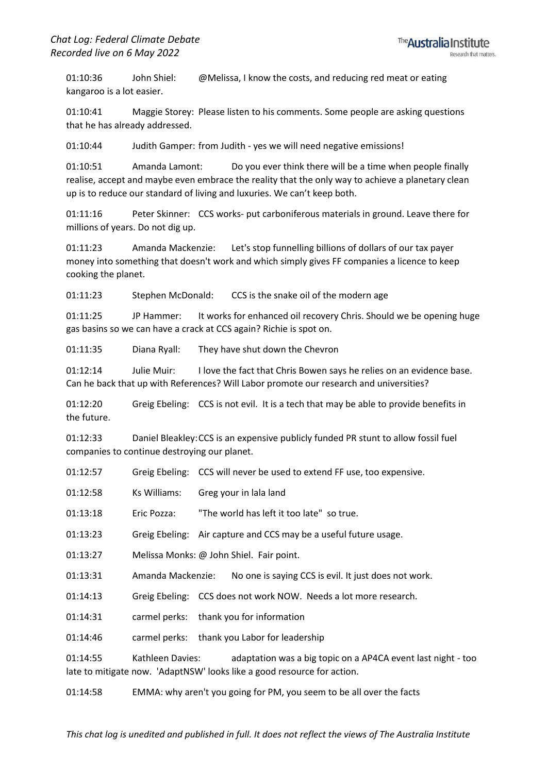01:10:36 John Shiel: @Melissa, I know the costs, and reducing red meat or eating kangaroo is a lot easier.

01:10:41 Maggie Storey: Please listen to his comments. Some people are asking questions that he has already addressed.

01:10:44 Judith Gamper: from Judith - yes we will need negative emissions!

01:10:51 Amanda Lamont: Do you ever think there will be a time when people finally realise, accept and maybe even embrace the reality that the only way to achieve a planetary clean up is to reduce our standard of living and luxuries. We can't keep both.

01:11:16 Peter Skinner: CCS works- put carboniferous materials in ground. Leave there for millions of years. Do not dig up.

01:11:23 Amanda Mackenzie: Let's stop funnelling billions of dollars of our tax payer money into something that doesn't work and which simply gives FF companies a licence to keep cooking the planet.

01:11:23 Stephen McDonald: CCS is the snake oil of the modern age

01:11:25 JP Hammer: It works for enhanced oil recovery Chris. Should we be opening huge gas basins so we can have a crack at CCS again? Richie is spot on.

01:11:35 Diana Ryall: They have shut down the Chevron

01:12:14 Julie Muir: I love the fact that Chris Bowen says he relies on an evidence base. Can he back that up with References? Will Labor promote our research and universities?

01:12:20 Greig Ebeling: CCS is not evil. It is a tech that may be able to provide benefits in the future.

01:12:33 Daniel Bleakley:CCS is an expensive publicly funded PR stunt to allow fossil fuel companies to continue destroying our planet.

| 01:12:57 |                   | Greig Ebeling: CCS will never be used to extend FF use, too expensive.                                                                  |
|----------|-------------------|-----------------------------------------------------------------------------------------------------------------------------------------|
| 01:12:58 | Ks Williams:      | Greg your in lala land                                                                                                                  |
| 01:13:18 | Eric Pozza:       | "The world has left it too late" so true.                                                                                               |
| 01:13:23 |                   | Greig Ebeling: Air capture and CCS may be a useful future usage.                                                                        |
| 01:13:27 |                   | Melissa Monks: @ John Shiel. Fair point.                                                                                                |
| 01:13:31 | Amanda Mackenzie: | No one is saying CCS is evil. It just does not work.                                                                                    |
| 01:14:13 |                   | Greig Ebeling: CCS does not work NOW. Needs a lot more research.                                                                        |
| 01:14:31 |                   | carmel perks: thank you for information                                                                                                 |
| 01:14:46 |                   | carmel perks: thank you Labor for leadership                                                                                            |
| 01:14:55 | Kathleen Davies:  | adaptation was a big topic on a AP4CA event last night - too<br>late to mitigate now. 'AdaptNSW' looks like a good resource for action. |

01:14:58 EMMA: why aren't you going for PM, you seem to be all over the facts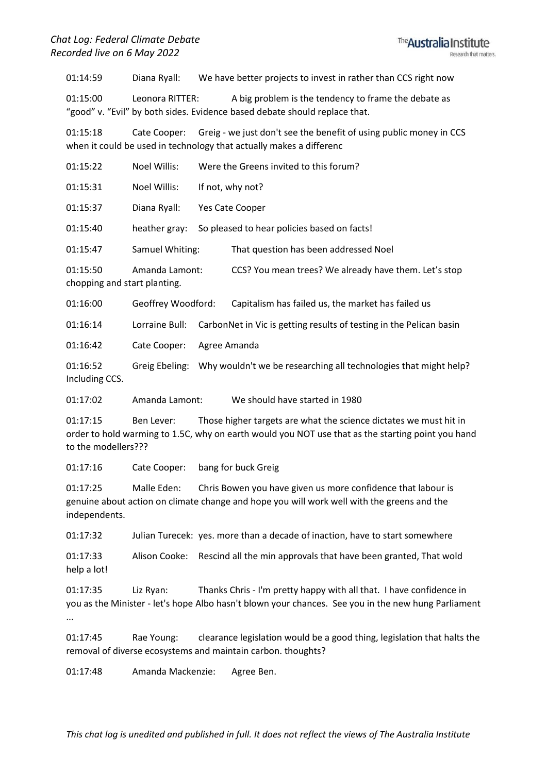01:14:59 Diana Ryall: We have better projects to invest in rather than CCS right now

01:15:00 Leonora RITTER: A big problem is the tendency to frame the debate as "good" v. "Evil" by both sides. Evidence based debate should replace that.

01:15:18 Cate Cooper: Greig - we just don't see the benefit of using public money in CCS when it could be used in technology that actually makes a differenc

| 01:15:22 | Noel Willis:    | Were the Greens invited to this forum?                |
|----------|-----------------|-------------------------------------------------------|
| 01:15:31 | Noel Willis:    | If not, why not?                                      |
| 01:15:37 | Diana Ryall:    | Yes Cate Cooper                                       |
| 01:15:40 | heather gray:   | So pleased to hear policies based on facts!           |
| 01:15:47 | Samuel Whiting: | That question has been addressed Noel                 |
| 01:15:50 | Amanda Lamont:  | CCS? You mean trees? We already have them. Let's stop |

chopping and start planting.

01:16:00 Geoffrey Woodford: Capitalism has failed us, the market has failed us

01:16:14 Lorraine Bull: CarbonNet in Vic is getting results of testing in the Pelican basin

01:16:42 Cate Cooper: Agree Amanda

01:16:52 Greig Ebeling: Why wouldn't we be researching all technologies that might help? Including CCS.

01:17:02 Amanda Lamont: We should have started in 1980

01:17:15 Ben Lever: Those higher targets are what the science dictates we must hit in order to hold warming to 1.5C, why on earth would you NOT use that as the starting point you hand to the modellers???

01:17:16 Cate Cooper: bang for buck Greig

01:17:25 Malle Eden: Chris Bowen you have given us more confidence that labour is genuine about action on climate change and hope you will work well with the greens and the independents.

01:17:32 Julian Turecek: yes. more than a decade of inaction, have to start somewhere

01:17:33 Alison Cooke: Rescind all the min approvals that have been granted, That wold help a lot!

01:17:35 Liz Ryan: Thanks Chris - I'm pretty happy with all that. I have confidence in you as the Minister - let's hope Albo hasn't blown your chances. See you in the new hung Parliament ...

01:17:45 Rae Young: clearance legislation would be a good thing, legislation that halts the removal of diverse ecosystems and maintain carbon. thoughts?

01:17:48 Amanda Mackenzie: Agree Ben.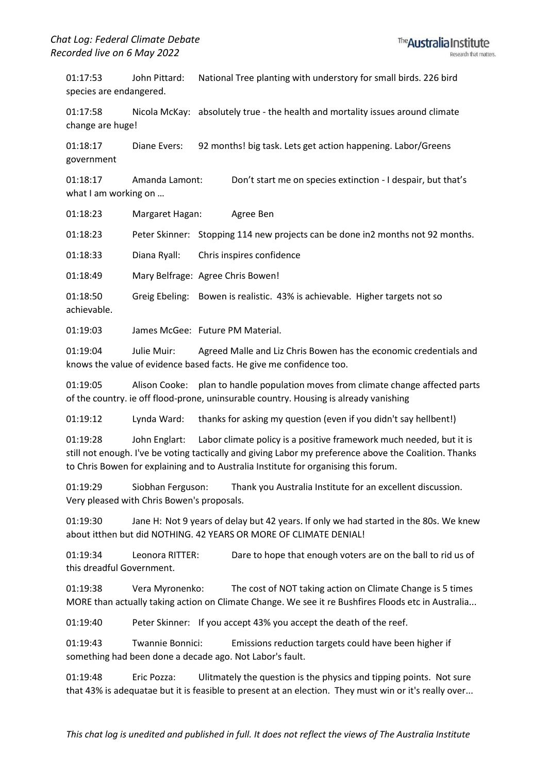01:17:53 John Pittard: National Tree planting with understory for small birds. 226 bird species are endangered.

01:17:58 Nicola McKay: absolutely true - the health and mortality issues around climate change are huge!

01:18:17 Diane Evers: 92 months! big task. Lets get action happening. Labor/Greens government

01:18:17 Amanda Lamont: Don't start me on species extinction - I despair, but that's what I am working on …

01:18:23 Margaret Hagan: Agree Ben

01:18:23 Peter Skinner: Stopping 114 new projects can be done in2 months not 92 months.

01:18:33 Diana Ryall: Chris inspires confidence

01:18:49 Mary Belfrage: Agree Chris Bowen!

01:18:50 Greig Ebeling: Bowen is realistic. 43% is achievable. Higher targets not so achievable.

01:19:03 James McGee: Future PM Material.

01:19:04 Julie Muir: Agreed Malle and Liz Chris Bowen has the economic credentials and knows the value of evidence based facts. He give me confidence too.

01:19:05 Alison Cooke: plan to handle population moves from climate change affected parts of the country. ie off flood-prone, uninsurable country. Housing is already vanishing

01:19:12 Lynda Ward: thanks for asking my question (even if you didn't say hellbent!)

01:19:28 John Englart: Labor climate policy is a positive framework much needed, but it is still not enough. I've be voting tactically and giving Labor my preference above the Coalition. Thanks to Chris Bowen for explaining and to Australia Institute for organising this forum.

01:19:29 Siobhan Ferguson: Thank you Australia Institute for an excellent discussion. Very pleased with Chris Bowen's proposals.

01:19:30 Jane H: Not 9 years of delay but 42 years. If only we had started in the 80s. We knew about itthen but did NOTHING. 42 YEARS OR MORE OF CLIMATE DENIAL!

01:19:34 Leonora RITTER: Dare to hope that enough voters are on the ball to rid us of this dreadful Government.

01:19:38 Vera Myronenko: The cost of NOT taking action on Climate Change is 5 times MORE than actually taking action on Climate Change. We see it re Bushfires Floods etc in Australia...

01:19:40 Peter Skinner: If you accept 43% you accept the death of the reef.

01:19:43 Twannie Bonnici: Emissions reduction targets could have been higher if something had been done a decade ago. Not Labor's fault.

01:19:48 Eric Pozza: Ulitmately the question is the physics and tipping points. Not sure that 43% is adequatae but it is feasible to present at an election. They must win or it's really over...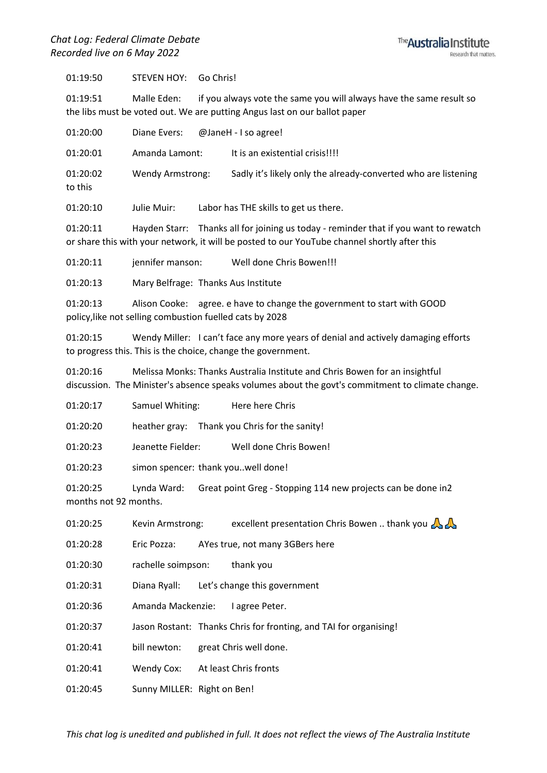

01:19:50 STEVEN HOY: Go Chris!

01:19:51 Malle Eden: if you always vote the same you will always have the same result so the libs must be voted out. We are putting Angus last on our ballot paper

| 01:20:00             | Diane Evers:            | @JaneH - I so agree!                                           |
|----------------------|-------------------------|----------------------------------------------------------------|
| 01:20:01             | Amanda Lamont:          | It is an existential crisis!!!!                                |
| 01:20:02<br>to this  | <b>Wendy Armstrong:</b> | Sadly it's likely only the already-converted who are listening |
| $\sim$ $\sim$ $\sim$ |                         |                                                                |

01:20:10 Julie Muir: Labor has THE skills to get us there.

01:20:11 Hayden Starr: Thanks all for joining us today - reminder that if you want to rewatch or share this with your network, it will be posted to our YouTube channel shortly after this

01:20:11 jennifer manson: Well done Chris Bowen!!!

01:20:13 Mary Belfrage: Thanks Aus Institute

01:20:13 Alison Cooke: agree. e have to change the government to start with GOOD policy,like not selling combustion fuelled cats by 2028

01:20:15 Wendy Miller: I can't face any more years of denial and actively damaging efforts to progress this. This is the choice, change the government.

01:20:16 Melissa Monks: Thanks Australia Institute and Chris Bowen for an insightful discussion. The Minister's absence speaks volumes about the govt's commitment to climate change.

01:20:17 Samuel Whiting: Here here Chris

01:20:20 heather gray: Thank you Chris for the sanity!

01:20:23 Jeanette Fielder: Well done Chris Bowen!

01:20:23 simon spencer: thank you..well done!

01:20:25 Lynda Ward: Great point Greg - Stopping 114 new projects can be done in2 months not 92 months.

01:20:25 Kevin Armstrong: excellent presentation Chris Bowen .. thank you

01:20:28 Eric Pozza: AYes true, not many 3GBers here

01:20:30 rachelle soimpson: thank you

01:20:31 Diana Ryall: Let's change this government

01:20:36 Amanda Mackenzie: I agree Peter.

01:20:37 Jason Rostant: Thanks Chris for fronting, and TAI for organising!

01:20:41 bill newton: great Chris well done.

01:20:41 Wendy Cox: At least Chris fronts

01:20:45 Sunny MILLER: Right on Ben!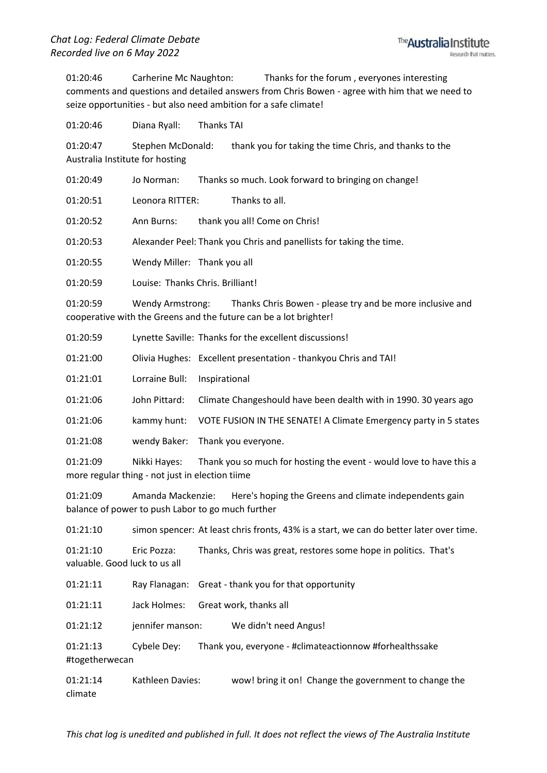01:20:46 Carherine Mc Naughton: Thanks for the forum , everyones interesting comments and questions and detailed answers from Chris Bowen - agree with him that we need to seize opportunities - but also need ambition for a safe climate!

01:20:46 Diana Ryall: Thanks TAI

01:20:47 Stephen McDonald: thank you for taking the time Chris, and thanks to the Australia Institute for hosting

01:20:49 Jo Norman: Thanks so much. Look forward to bringing on change! 01:20:51 Leonora RITTER: Thanks to all.

01:20:52 Ann Burns: thank you all! Come on Chris!

01:20:53 Alexander Peel: Thank you Chris and panellists for taking the time.

01:20:55 Wendy Miller: Thank you all

01:20:59 Louise: Thanks Chris. Brilliant!

01:20:59 Wendy Armstrong: Thanks Chris Bowen - please try and be more inclusive and cooperative with the Greens and the future can be a lot brighter!

| 01:20:59 |  | Lynette Saville: Thanks for the excellent discussions! |
|----------|--|--------------------------------------------------------|
|----------|--|--------------------------------------------------------|

- 01:21:00 Olivia Hughes: Excellent presentation thankyou Chris and TAI!
- 01:21:01 Lorraine Bull: Inspirational
- 01:21:06 John Pittard: Climate Changeshould have been dealth with in 1990. 30 years ago
- 01:21:06 kammy hunt: VOTE FUSION IN THE SENATE! A Climate Emergency party in 5 states
- 01:21:08 wendy Baker: Thank you everyone.

01:21:09 Nikki Hayes: Thank you so much for hosting the event - would love to have this a more regular thing - not just in election tiime

01:21:09 Amanda Mackenzie: Here's hoping the Greens and climate independents gain balance of power to push Labor to go much further

01:21:10 simon spencer: At least chris fronts, 43% is a start, we can do better later over time.

01:21:10 Eric Pozza: Thanks, Chris was great, restores some hope in politics. That's valuable. Good luck to us all

01:21:11 Ray Flanagan: Great - thank you for that opportunity

01:21:11 Jack Holmes: Great work, thanks all

01:21:12 jennifer manson: We didn't need Angus!

01:21:13 Cybele Dey: Thank you, everyone - #climateactionnow #forhealthssake #togetherwecan

01:21:14 Kathleen Davies: wow! bring it on! Change the government to change the climate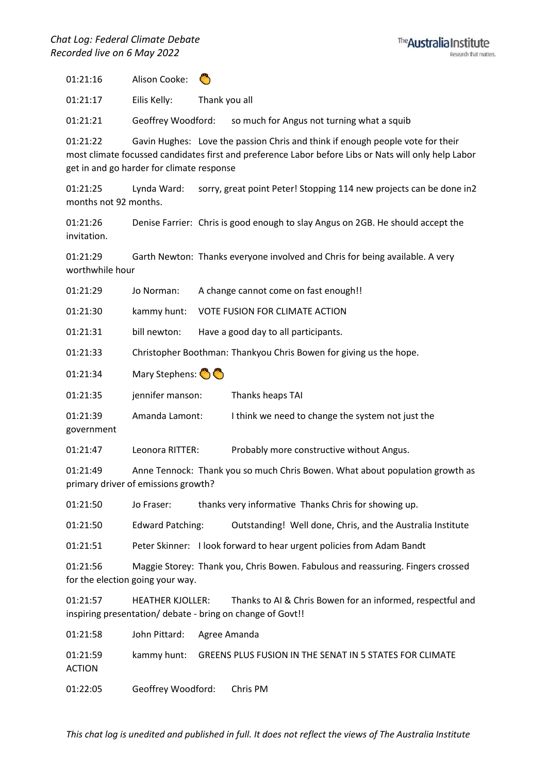

01:21:16 Alison Cooke:

01:21:17 Eilis Kelly: Thank you all

01:21:21 Geoffrey Woodford: so much for Angus not turning what a squib

01:21:22 Gavin Hughes: Love the passion Chris and think if enough people vote for their most climate focussed candidates first and preference Labor before Libs or Nats will only help Labor get in and go harder for climate response

01:21:25 Lynda Ward: sorry, great point Peter! Stopping 114 new projects can be done in2 months not 92 months.

01:21:26 Denise Farrier: Chris is good enough to slay Angus on 2GB. He should accept the invitation.

01:21:29 Garth Newton: Thanks everyone involved and Chris for being available. A very worthwhile hour

| 01:21:29               | Jo Norman:       | A change cannot come on fast enough!!                              |
|------------------------|------------------|--------------------------------------------------------------------|
| 01:21:30               | kammy hunt:      | VOTE FUSION FOR CLIMATE ACTION                                     |
| 01:21:31               | bill newton:     | Have a good day to all participants.                               |
| 01:21:33               |                  | Christopher Boothman: Thankyou Chris Bowen for giving us the hope. |
| 01:21:34               | Mary Stephens: 8 |                                                                    |
| 01:21:35               | jennifer manson: | Thanks heaps TAI                                                   |
| 01:21:39<br>government | Amanda Lamont:   | I think we need to change the system not just the                  |
| 01:21:47               | Leonora RITTER:  | Probably more constructive without Angus.                          |
|                        |                  |                                                                    |

01:21:49 Anne Tennock: Thank you so much Chris Bowen. What about population growth as primary driver of emissions growth?

01:21:50 Jo Fraser: thanks very informative Thanks Chris for showing up.

01:21:50 Edward Patching: Outstanding! Well done, Chris, and the Australia Institute

01:21:51 Peter Skinner: I look forward to hear urgent policies from Adam Bandt

01:21:56 Maggie Storey: Thank you, Chris Bowen. Fabulous and reassuring. Fingers crossed for the election going your way.

01:21:57 HEATHER KJOLLER: Thanks to AI & Chris Bowen for an informed, respectful and inspiring presentation/ debate - bring on change of Govt!!

| 01:21:58                  | John Pittard: Agree Amanda  |                                                                     |
|---------------------------|-----------------------------|---------------------------------------------------------------------|
| 01:21:59<br><b>ACTION</b> |                             | kammy hunt: GREENS PLUS FUSION IN THE SENAT IN 5 STATES FOR CLIMATE |
| 01:22:05                  | Geoffrey Woodford: Chris PM |                                                                     |